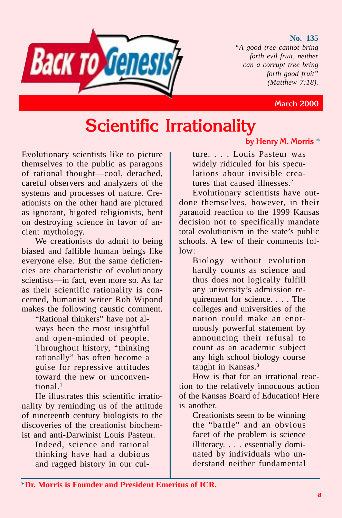#### **No. 135**

*"A good tree cannot bring forth evil fruit, neither can a corrupt tree bring forth good fruit" (Matthew 7:18).*



#### **March 2000**

# **Scientific Irrationality**

Evolutionary scientists like to picture themselves to the public as paragons of rational thought—cool, detached, careful observers and analyzers of the systems and processes of nature. Creationists on the other hand are pictured as ignorant, bigoted religionists, bent on destroying science in favor of ancient mythology.

We creationists do admit to being biased and fallible human beings like everyone else. But the same deficiencies are characteristic of evolutionary scientists—in fact, even more so. As far as their scientific rationality is concerned, humanist writer Rob Wipond makes the following caustic comment.

"Rational thinkers" have not always been the most insightful and open-minded of people. Throughout history, "thinking rationally" has often become a guise for repressive attitudes toward the new or unconventional.1

He illustrates this scientific irrationality by reminding us of the attitude of nineteenth century biologists to the discoveries of the creationist biochemist and anti-Darwinist Louis Pasteur.

Indeed, science and rational thinking have had a dubious and ragged history in our cul-

#### **by Henry M. Morris** \*

ture. . . . Louis Pasteur was widely ridiculed for his speculations about invisible creatures that caused illnesses $<sup>2</sup>$ </sup>

Evolutionary scientists have outdone themselves, however, in their paranoid reaction to the 1999 Kansas decision not to specifically mandate total evolutionism in the state's public schools. A few of their comments follow:

Biology without evolution hardly counts as science and thus does not logically fulfill any university's admission requirement for science. . . . The colleges and universities of the nation could make an enormously powerful statement by announcing their refusal to count as an academic subject any high school biology course taught in Kansas.3

How is that for an irrational reaction to the relatively innocuous action of the Kansas Board of Education! Here is another.

Creationists seem to be winning the "battle" and an obvious facet of the problem is science illiteracy. . . . essentially dominated by individuals who understand neither fundamental

\***Dr. Morris is Founder and President Emeritus of ICR.**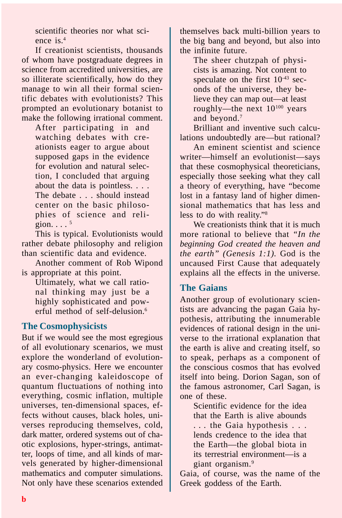scientific theories nor what science is.4

If creationist scientists, thousands of whom have postgraduate degrees in science from accredited universities, are so illiterate scientifically, how do they manage to win all their formal scientific debates with evolutionists? This prompted an evolutionary botanist to make the following irrational comment.

After participating in and watching debates with creationists eager to argue about supposed gaps in the evidence for evolution and natural selection, I concluded that arguing about the data is pointless. . . . The debate . . . should instead center on the basic philosophies of science and religion.  $\ldots$ <sup>5</sup>

This is typical. Evolutionists would rather debate philosophy and religion than scientific data and evidence.

Another comment of Rob Wipond is appropriate at this point.

Ultimately, what we call rational thinking may just be a highly sophisticated and powerful method of self-delusion.<sup>6</sup>

### **The Cosmophysicists**

But if we would see the most egregious of all evolutionary scenarios, we must explore the wonderland of evolutionary cosmo-physics. Here we encounter an ever-changing kaleidoscope of quantum fluctuations of nothing into everything, cosmic inflation, multiple universes, ten-dimensional spaces, effects without causes, black holes, universes reproducing themselves, cold, dark matter, ordered systems out of chaotic explosions, hyper-strings, antimatter, loops of time, and all kinds of marvels generated by higher-dimensional mathematics and computer simulations. Not only have these scenarios extended

themselves back multi-billion years to the big bang and beyond, but also into the infinite future.

The sheer chutzpah of physicists is amazing. Not content to speculate on the first  $10^{-43}$  seconds of the universe, they believe they can map out—at least roughly—the next  $10^{100}$  years and beyond.7

Brilliant and inventive such calculations undoubtedly are—but rational?

An eminent scientist and science writer—himself an evolutionist—says that these cosmophysical theoreticians, especially those seeking what they call a theory of everything, have "become lost in a fantasy land of higher dimensional mathematics that has less and less to do with reality."8

We creationists think that it is much more rational to believe that *"In the beginning God created the heaven and the earth" (Genesis 1:1).* God is the uncaused First Cause that adequately explains all the effects in the universe.

### **The Gaians**

Another group of evolutionary scientists are advancing the pagan Gaia hypothesis, attributing the innumerable evidences of rational design in the universe to the irrational explanation that the earth is alive and creating itself, so to speak, perhaps as a component of the conscious cosmos that has evolved itself into being. Dorion Sagan, son of the famous astronomer, Carl Sagan, is one of these.

Scientific evidence for the idea that the Earth is alive abounds . . . the Gaia hypothesis . . . lends credence to the idea that the Earth—the global biota in its terrestrial environment—is a giant organism.9

Gaia, of course, was the name of the Greek goddess of the Earth.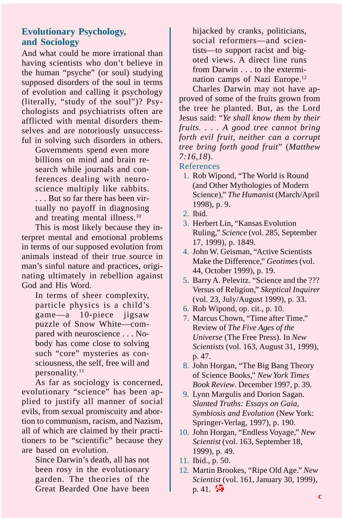## **Evolutionary Psychology, and Sociology**

And what could be more irrational than having scientists who don't believe in the human "psyche" (or soul) studying supposed disorders of the soul in terms of evolution and calling it psychology (literally, "study of the soul")? Psychologists and psychiatrists often are afflicted with mental disorders themselves and are notoriously unsuccessful in solving such disorders in others.

Governments spend even more billions on mind and brain research while journals and conferences dealing with neuroscience multiply like rabbits. . . . But so far there has been virtually no payoff in diagnosing and treating mental illness.10

This is most likely because they interpret mental and emotional problems in terms of our supposed evolution from animals instead of their true source in man's sinful nature and practices, originating ultimately in rebellion against God and His Word.

In terms of sheer complexity, particle physics is a child's game—a 10-piece jigsaw puzzle of Snow White—compared with neuroscience . . . Nobody has come close to solving such "core" mysteries as consciousness, the self, free will and personality.<sup>11</sup>

As far as sociology is concerned, evolutionary "science" has been applied to justify all manner of social evils, from sexual promiscuity and abortion to communism, racism, and Nazism, all of which are claimed by their practitioners to be "scientific" because they are based on evolution.

Since Darwin's death, all has not been rosy in the evolutionary garden. The theories of the Great Bearded One have been

hijacked by cranks, politicians, social reformers—and scientists—to support racist and bigoted views. A direct line runs from Darwin . . . to the extermination camps of Nazi Europe.12

Charles Darwin may not have approved of some of the fruits grown from the tree he planted. But, as the Lord Jesus said: "*Ye shall know them by their fruits. . . . A good tree cannot bring forth evil fruit, neither can a corrupt tree bring forth good fruit*" (*Matthew 7:16,18*).

#### References

- 1. Rob Wipond, "The World is Round (and Other Mythologies of Modern Science)," *The Humanist* (March/April 1998), p. 9.
- 2. Ibid.
- 3. Herbert Lin, "Kansas Evolution Ruling," *Science* (vol. 285, September 17, 1999), p. 1849.
- 4. John W. Geisman, "Active Scientists Make the Difference," *Geotimes* (vol. 44, October 1999), p. 19.
- 5. Barry A. Pelevitz. "Science and the ??? Versus of Religion," *Skeptical Inquirer* (vol. 23, July/August 1999), p. 33.
- 6. Rob Wipond, op. cit., p. 10.
- 7. Marcus Chown, "Time after Time." Review of *The Five Ages of the Universe* (The Free Press). In *New Scientists* (vol. 163, August 31, 1999), p. 47.
- 8. John Horgan, "The Big Bang Theory of Science Books," *New York Times Book Review*. December 1997, p. 39.
- 9. Lynn Margulis and Dorion Sagan. *Slanted Truths: Essays on Gaia, Symbiosis and Evolution* (New York: Springer-Verlag, 1997), p. 190.
- 10. John Horgan, "Endless Voyage," *New Scientist* (vol. 163, September 18, 1999), p. 49.
- 11. Ibid., p. 50.
- 12. Martin Brookes, "Ripe Old Age." *New Scientist* (vol. 161, January 30, 1999),  $p. 41.$